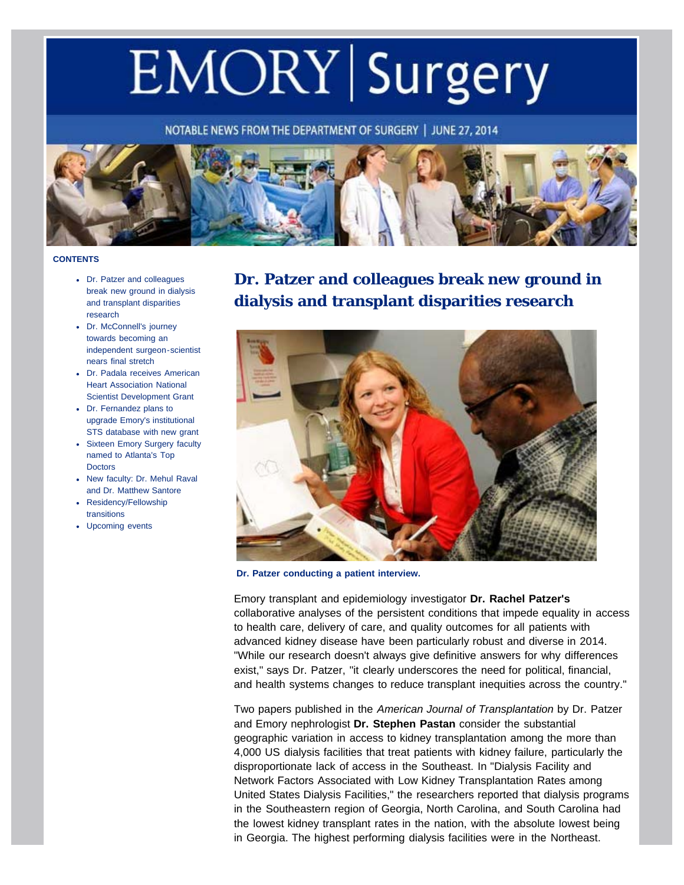# EMORY Surgery

NOTABLE NEWS FROM THE DEPARTMENT OF SURGERY | JUNE 27, 2014



#### <span id="page-0-0"></span>**CONTENTS**

- [Dr. Patzer and colleagues](#page-0-0) [break new ground in dialysis](#page-0-0) [and transplant disparities](#page-0-0) [research](#page-0-0)
- [Dr. McConnell's journey](#page-2-0) [towards becoming an](#page-2-0) [independent surgeon-scientist](#page-2-0) [nears final stretch](#page-2-0)
- [Dr. Padala receives American](#page-3-0) [Heart Association National](#page-3-0) [Scientist Development Grant](#page-3-0)
- [Dr. Fernandez plans to](#page-4-0) [upgrade Emory's institutional](#page-4-0) [STS database with new grant](#page-4-0)
- [Sixteen Emory Surgery faculty](#page-5-0) [named to Atlanta's Top](#page-5-0) **[Doctors](#page-5-0)**
- [New faculty: Dr. Mehul Raval](#page-6-0) [and Dr. Matthew Santore](#page-6-0)
- [Residency/Fellowship](#page-6-1) [transitions](#page-6-1)
- [Upcoming events](#page-11-0)

# **Dr. Patzer and colleagues break new ground in dialysis and transplant disparities research**



**Dr. Patzer conducting a patient interview.**

Emory transplant and epidemiology investigator **Dr. Rachel Patzer's** collaborative analyses of the persistent conditions that impede equality in access to health care, delivery of care, and quality outcomes for all patients with advanced kidney disease have been particularly robust and diverse in 2014. "While our research doesn't always give definitive answers for why differences exist," says Dr. Patzer, "it clearly underscores the need for political, financial, and health systems changes to reduce transplant inequities across the country."

Two papers published in the *American Journal of Transplantation* by Dr. Patzer and Emory nephrologist **Dr. Stephen Pastan** consider the substantial geographic variation in access to kidney transplantation among the more than 4,000 US dialysis facilities that treat patients with kidney failure, particularly the disproportionate lack of access in the Southeast. In "Dialysis Facility and Network Factors Associated with Low Kidney Transplantation Rates among United States Dialysis Facilities," the researchers reported that dialysis programs in the Southeastern region of Georgia, North Carolina, and South Carolina had the lowest kidney transplant rates in the nation, with the absolute lowest being in Georgia. The highest performing dialysis facilities were in the Northeast.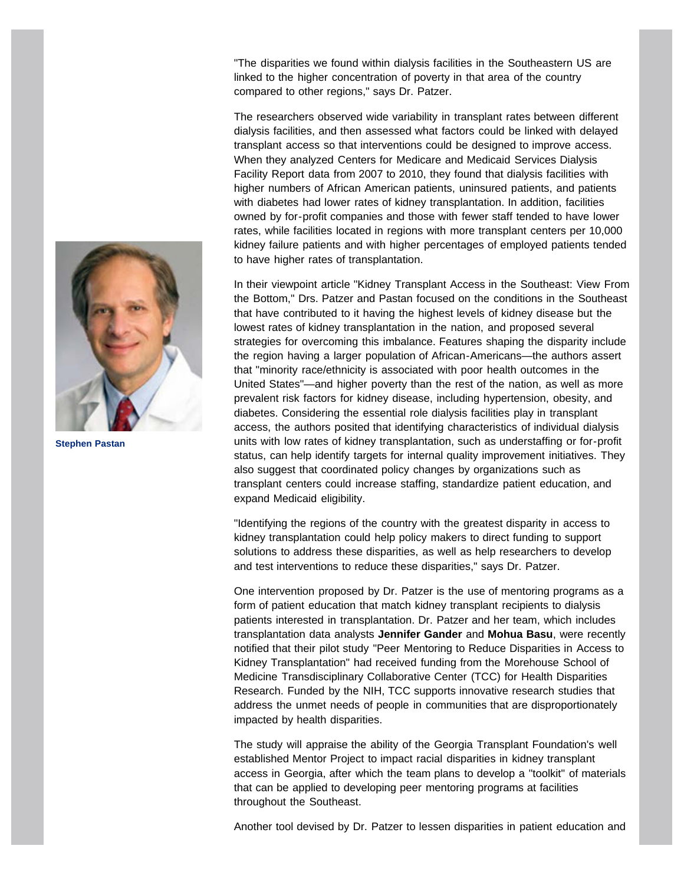"The disparities we found within dialysis facilities in the Southeastern US are linked to the higher concentration of poverty in that area of the country compared to other regions," says Dr. Patzer.

The researchers observed wide variability in transplant rates between different dialysis facilities, and then assessed what factors could be linked with delayed transplant access so that interventions could be designed to improve access. When they analyzed Centers for Medicare and Medicaid Services Dialysis Facility Report data from 2007 to 2010, they found that dialysis facilities with higher numbers of African American patients, uninsured patients, and patients with diabetes had lower rates of kidney transplantation. In addition, facilities owned by for-profit companies and those with fewer staff tended to have lower rates, while facilities located in regions with more transplant centers per 10,000 kidney failure patients and with higher percentages of employed patients tended to have higher rates of transplantation.

In their viewpoint article "Kidney Transplant Access in the Southeast: View From the Bottom," Drs. Patzer and Pastan focused on the conditions in the Southeast that have contributed to it having the highest levels of kidney disease but the lowest rates of kidney transplantation in the nation, and proposed several strategies for overcoming this imbalance. Features shaping the disparity include the region having a larger population of African-Americans—the authors assert that "minority race/ethnicity is associated with poor health outcomes in the United States"—and higher poverty than the rest of the nation, as well as more prevalent risk factors for kidney disease, including hypertension, obesity, and diabetes. Considering the essential role dialysis facilities play in transplant access, the authors posited that identifying characteristics of individual dialysis units with low rates of kidney transplantation, such as understaffing or for-profit status, can help identify targets for internal quality improvement initiatives. They also suggest that coordinated policy changes by organizations such as transplant centers could increase staffing, standardize patient education, and expand Medicaid eligibility.

"Identifying the regions of the country with the greatest disparity in access to kidney transplantation could help policy makers to direct funding to support solutions to address these disparities, as well as help researchers to develop and test interventions to reduce these disparities," says Dr. Patzer.

One intervention proposed by Dr. Patzer is the use of mentoring programs as a form of patient education that match kidney transplant recipients to dialysis patients interested in transplantation. Dr. Patzer and her team, which includes transplantation data analysts **Jennifer Gander** and **Mohua Basu**, were recently notified that their pilot study "Peer Mentoring to Reduce Disparities in Access to Kidney Transplantation" had received funding from the Morehouse School of Medicine Transdisciplinary Collaborative Center (TCC) for Health Disparities Research. Funded by the NIH, TCC supports innovative research studies that address the unmet needs of people in communities that are disproportionately impacted by health disparities.

The study will appraise the ability of the Georgia Transplant Foundation's well established Mentor Project to impact racial disparities in kidney transplant access in Georgia, after which the team plans to develop a "toolkit" of materials that can be applied to developing peer mentoring programs at facilities throughout the Southeast.

Another tool devised by Dr. Patzer to lessen disparities in patient education and



**Stephen Pastan**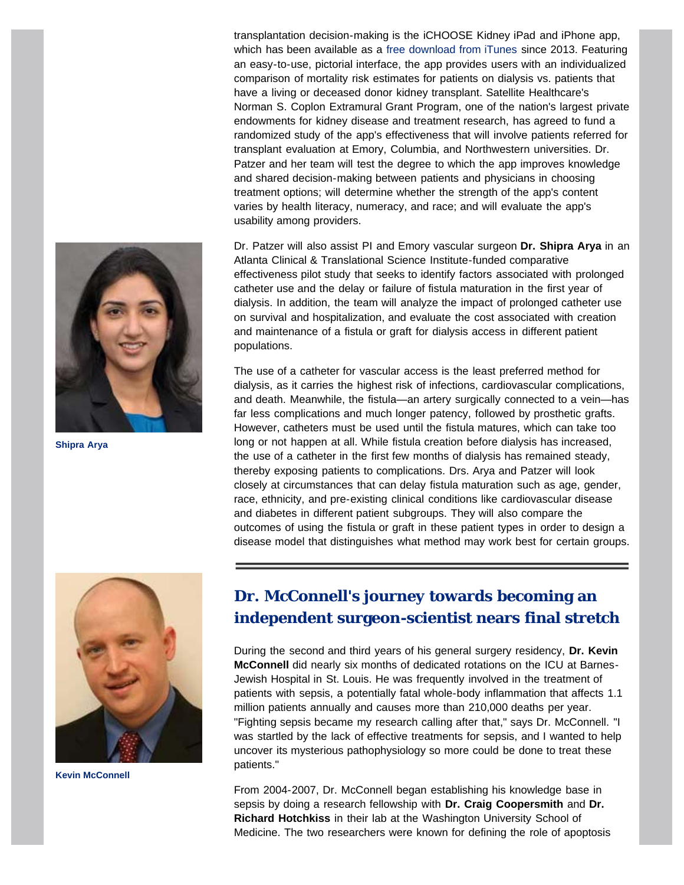**Shipra Arya**

transplantation decision-making is the iCHOOSE Kidney iPad and iPhone app, which has been available as a [free download from iTunes](https://itunes.apple.com/us/app/ichoose-kidney/id685381934?mt=8) since 2013. Featuring an easy-to-use, pictorial interface, the app provides users with an individualized comparison of mortality risk estimates for patients on dialysis vs. patients that have a living or deceased donor kidney transplant. Satellite Healthcare's Norman S. Coplon Extramural Grant Program, one of the nation's largest private endowments for kidney disease and treatment research, has agreed to fund a randomized study of the app's effectiveness that will involve patients referred for transplant evaluation at Emory, Columbia, and Northwestern universities. Dr. Patzer and her team will test the degree to which the app improves knowledge and shared decision-making between patients and physicians in choosing treatment options; will determine whether the strength of the app's content varies by health literacy, numeracy, and race; and will evaluate the app's usability among providers.

Dr. Patzer will also assist PI and Emory vascular surgeon **Dr. Shipra Arya** in an Atlanta Clinical & Translational Science Institute-funded comparative effectiveness pilot study that seeks to identify factors associated with prolonged catheter use and the delay or failure of fistula maturation in the first year of dialysis. In addition, the team will analyze the impact of prolonged catheter use on survival and hospitalization, and evaluate the cost associated with creation and maintenance of a fistula or graft for dialysis access in different patient populations.

The use of a catheter for vascular access is the least preferred method for dialysis, as it carries the highest risk of infections, cardiovascular complications, and death. Meanwhile, the fistula—an artery surgically connected to a vein—has far less complications and much longer patency, followed by prosthetic grafts. However, catheters must be used until the fistula matures, which can take too long or not happen at all. While fistula creation before dialysis has increased, the use of a catheter in the first few months of dialysis has remained steady, thereby exposing patients to complications. Drs. Arya and Patzer will look closely at circumstances that can delay fistula maturation such as age, gender, race, ethnicity, and pre-existing clinical conditions like cardiovascular disease and diabetes in different patient subgroups. They will also compare the outcomes of using the fistula or graft in these patient types in order to design a disease model that distinguishes what method may work best for certain groups.

<span id="page-2-0"></span>

**Kevin McConnell**

# **Dr. McConnell's journey towards becoming an independent surgeon-scientist nears final stretch**

During the second and third years of his general surgery residency, **Dr. Kevin McConnell** did nearly six months of dedicated rotations on the ICU at Barnes-Jewish Hospital in St. Louis. He was frequently involved in the treatment of patients with sepsis, a potentially fatal whole-body inflammation that affects 1.1 million patients annually and causes more than 210,000 deaths per year. "Fighting sepsis became my research calling after that," says Dr. McConnell. "I was startled by the lack of effective treatments for sepsis, and I wanted to help uncover its mysterious pathophysiology so more could be done to treat these patients."

From 2004-2007, Dr. McConnell began establishing his knowledge base in sepsis by doing a research fellowship with **Dr. Craig Coopersmith** and **Dr. Richard Hotchkiss** in their lab at the Washington University School of Medicine. The two researchers were known for defining the role of apoptosis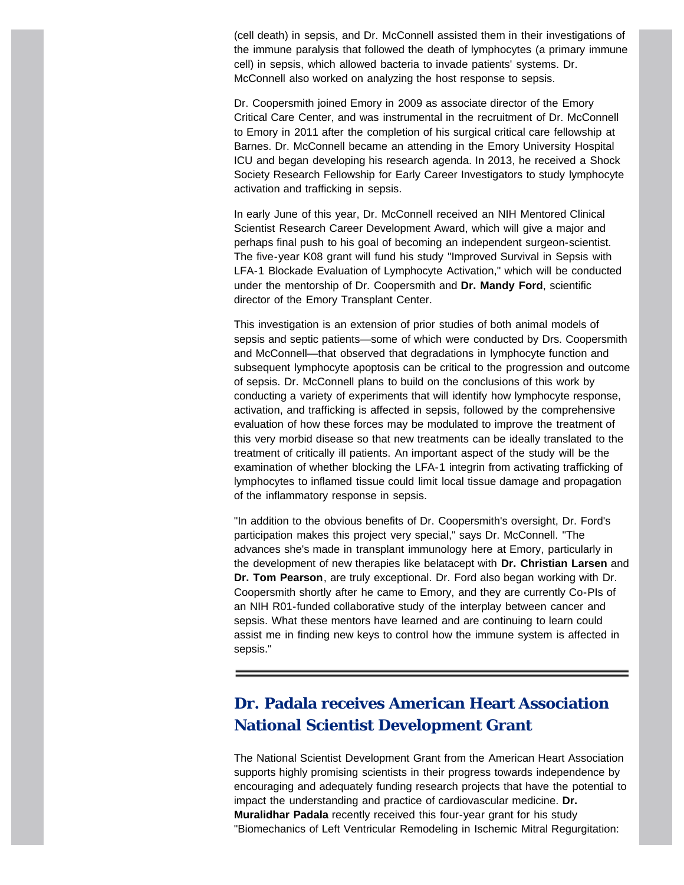(cell death) in sepsis, and Dr. McConnell assisted them in their investigations of the immune paralysis that followed the death of lymphocytes (a primary immune cell) in sepsis, which allowed bacteria to invade patients' systems. Dr. McConnell also worked on analyzing the host response to sepsis.

Dr. Coopersmith joined Emory in 2009 as associate director of the Emory Critical Care Center, and was instrumental in the recruitment of Dr. McConnell to Emory in 2011 after the completion of his surgical critical care fellowship at Barnes. Dr. McConnell became an attending in the Emory University Hospital ICU and began developing his research agenda. In 2013, he received a Shock Society Research Fellowship for Early Career Investigators to study lymphocyte activation and trafficking in sepsis.

In early June of this year, Dr. McConnell received an NIH Mentored Clinical Scientist Research Career Development Award, which will give a major and perhaps final push to his goal of becoming an independent surgeon-scientist. The five-year K08 grant will fund his study "Improved Survival in Sepsis with LFA-1 Blockade Evaluation of Lymphocyte Activation," which will be conducted under the mentorship of Dr. Coopersmith and **Dr. Mandy Ford**, scientific director of the Emory Transplant Center.

This investigation is an extension of prior studies of both animal models of sepsis and septic patients—some of which were conducted by Drs. Coopersmith and McConnell—that observed that degradations in lymphocyte function and subsequent lymphocyte apoptosis can be critical to the progression and outcome of sepsis. Dr. McConnell plans to build on the conclusions of this work by conducting a variety of experiments that will identify how lymphocyte response, activation, and trafficking is affected in sepsis, followed by the comprehensive evaluation of how these forces may be modulated to improve the treatment of this very morbid disease so that new treatments can be ideally translated to the treatment of critically ill patients. An important aspect of the study will be the examination of whether blocking the LFA-1 integrin from activating trafficking of lymphocytes to inflamed tissue could limit local tissue damage and propagation of the inflammatory response in sepsis.

"In addition to the obvious benefits of Dr. Coopersmith's oversight, Dr. Ford's participation makes this project very special," says Dr. McConnell. "The advances she's made in transplant immunology here at Emory, particularly in the development of new therapies like belatacept with **Dr. Christian Larsen** and **Dr. Tom Pearson**, are truly exceptional. Dr. Ford also began working with Dr. Coopersmith shortly after he came to Emory, and they are currently Co-PIs of an NIH R01-funded collaborative study of the interplay between cancer and sepsis. What these mentors have learned and are continuing to learn could assist me in finding new keys to control how the immune system is affected in sepsis."

# <span id="page-3-0"></span>**Dr. Padala receives American Heart Association National Scientist Development Grant**

The National Scientist Development Grant from the American Heart Association supports highly promising scientists in their progress towards independence by encouraging and adequately funding research projects that have the potential to impact the understanding and practice of cardiovascular medicine. **Dr. Muralidhar Padala** recently received this four-year grant for his study "Biomechanics of Left Ventricular Remodeling in Ischemic Mitral Regurgitation: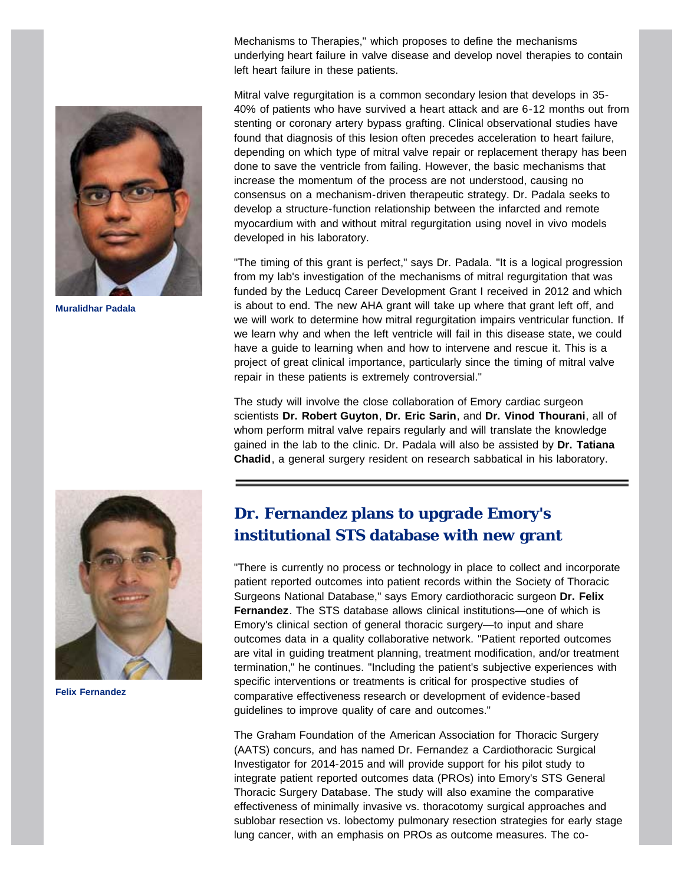Mechanisms to Therapies," which proposes to define the mechanisms underlying heart failure in valve disease and develop novel therapies to contain left heart failure in these patients.



**Muralidhar Padala**

Mitral valve regurgitation is a common secondary lesion that develops in 35- 40% of patients who have survived a heart attack and are 6-12 months out from stenting or coronary artery bypass grafting. Clinical observational studies have found that diagnosis of this lesion often precedes acceleration to heart failure, depending on which type of mitral valve repair or replacement therapy has been done to save the ventricle from failing. However, the basic mechanisms that increase the momentum of the process are not understood, causing no consensus on a mechanism-driven therapeutic strategy. Dr. Padala seeks to develop a structure-function relationship between the infarcted and remote myocardium with and without mitral regurgitation using novel in vivo models developed in his laboratory.

"The timing of this grant is perfect," says Dr. Padala. "It is a logical progression from my lab's investigation of the mechanisms of mitral regurgitation that was funded by the Leducq Career Development Grant I received in 2012 and which is about to end. The new AHA grant will take up where that grant left off, and we will work to determine how mitral regurgitation impairs ventricular function. If we learn why and when the left ventricle will fail in this disease state, we could have a guide to learning when and how to intervene and rescue it. This is a project of great clinical importance, particularly since the timing of mitral valve repair in these patients is extremely controversial."

The study will involve the close collaboration of Emory cardiac surgeon scientists **Dr. Robert Guyton**, **Dr. Eric Sarin**, and **Dr. Vinod Thourani**, all of whom perform mitral valve repairs regularly and will translate the knowledge gained in the lab to the clinic. Dr. Padala will also be assisted by **Dr. Tatiana Chadid**, a general surgery resident on research sabbatical in his laboratory.

<span id="page-4-0"></span>

**Felix Fernandez**

# **Dr. Fernandez plans to upgrade Emory's institutional STS database with new grant**

"There is currently no process or technology in place to collect and incorporate patient reported outcomes into patient records within the Society of Thoracic Surgeons National Database," says Emory cardiothoracic surgeon **Dr. Felix Fernandez**. The STS database allows clinical institutions—one of which is Emory's clinical section of general thoracic surgery—to input and share outcomes data in a quality collaborative network. "Patient reported outcomes are vital in guiding treatment planning, treatment modification, and/or treatment termination," he continues. "Including the patient's subjective experiences with specific interventions or treatments is critical for prospective studies of comparative effectiveness research or development of evidence-based guidelines to improve quality of care and outcomes."

The Graham Foundation of the American Association for Thoracic Surgery (AATS) concurs, and has named Dr. Fernandez a Cardiothoracic Surgical Investigator for 2014-2015 and will provide support for his pilot study to integrate patient reported outcomes data (PROs) into Emory's STS General Thoracic Surgery Database. The study will also examine the comparative effectiveness of minimally invasive vs. thoracotomy surgical approaches and sublobar resection vs. lobectomy pulmonary resection strategies for early stage lung cancer, with an emphasis on PROs as outcome measures. The co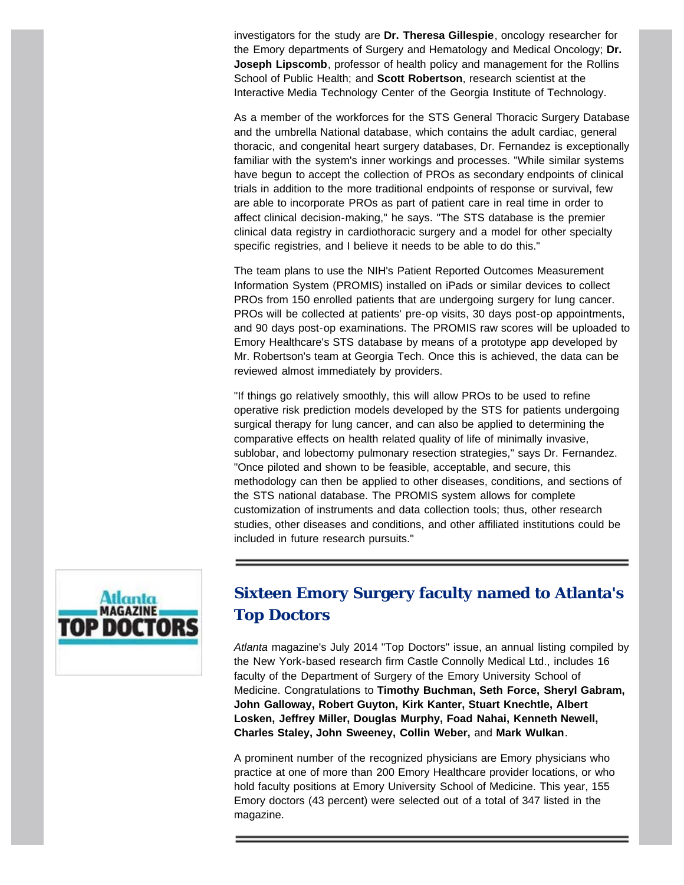investigators for the study are **Dr. Theresa Gillespie**, oncology researcher for the Emory departments of Surgery and Hematology and Medical Oncology; **Dr. Joseph Lipscomb**, professor of health policy and management for the Rollins School of Public Health; and **Scott Robertson**, research scientist at the Interactive Media Technology Center of the Georgia Institute of Technology.

As a member of the workforces for the STS General Thoracic Surgery Database and the umbrella National database, which contains the adult cardiac, general thoracic, and congenital heart surgery databases, Dr. Fernandez is exceptionally familiar with the system's inner workings and processes. "While similar systems have begun to accept the collection of PROs as secondary endpoints of clinical trials in addition to the more traditional endpoints of response or survival, few are able to incorporate PROs as part of patient care in real time in order to affect clinical decision-making," he says. "The STS database is the premier clinical data registry in cardiothoracic surgery and a model for other specialty specific registries, and I believe it needs to be able to do this."

The team plans to use the NIH's Patient Reported Outcomes Measurement Information System (PROMIS) installed on iPads or similar devices to collect PROs from 150 enrolled patients that are undergoing surgery for lung cancer. PROs will be collected at patients' pre-op visits, 30 days post-op appointments, and 90 days post-op examinations. The PROMIS raw scores will be uploaded to Emory Healthcare's STS database by means of a prototype app developed by Mr. Robertson's team at Georgia Tech. Once this is achieved, the data can be reviewed almost immediately by providers.

"If things go relatively smoothly, this will allow PROs to be used to refine operative risk prediction models developed by the STS for patients undergoing surgical therapy for lung cancer, and can also be applied to determining the comparative effects on health related quality of life of minimally invasive, sublobar, and lobectomy pulmonary resection strategies," says Dr. Fernandez. "Once piloted and shown to be feasible, acceptable, and secure, this methodology can then be applied to other diseases, conditions, and sections of the STS national database. The PROMIS system allows for complete customization of instruments and data collection tools; thus, other research studies, other diseases and conditions, and other affiliated institutions could be included in future research pursuits."

<span id="page-5-0"></span>

# **Sixteen Emory Surgery faculty named to Atlanta's Top Doctors**

*Atlanta* magazine's July 2014 "Top Doctors" issue, an annual listing compiled by the New York-based research firm Castle Connolly Medical Ltd., includes 16 faculty of the Department of Surgery of the Emory University School of Medicine. Congratulations to **Timothy Buchman, Seth Force, Sheryl Gabram, John Galloway, Robert Guyton, Kirk Kanter, Stuart Knechtle, Albert Losken, Jeffrey Miller, Douglas Murphy, Foad Nahai, Kenneth Newell, Charles Staley, John Sweeney, Collin Weber,** and **Mark Wulkan**.

A prominent number of the recognized physicians are Emory physicians who practice at one of more than 200 Emory Healthcare provider locations, or who hold faculty positions at Emory University School of Medicine. This year, 155 Emory doctors (43 percent) were selected out of a total of 347 listed in the magazine.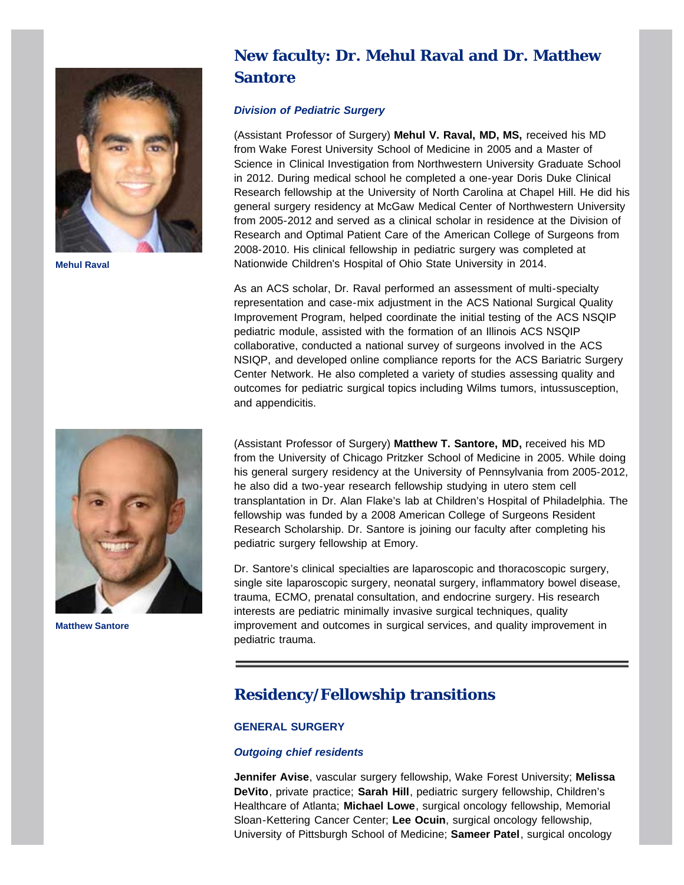<span id="page-6-0"></span>

**Mehul Raval**



**Matthew Santore**

# **New faculty: Dr. Mehul Raval and Dr. Matthew Santore**

# *Division of Pediatric Surgery*

(Assistant Professor of Surgery) **Mehul V. Raval, MD, MS,** received his MD from Wake Forest University School of Medicine in 2005 and a Master of Science in Clinical Investigation from Northwestern University Graduate School in 2012. During medical school he completed a one-year Doris Duke Clinical Research fellowship at the University of North Carolina at Chapel Hill. He did his general surgery residency at McGaw Medical Center of Northwestern University from 2005-2012 and served as a clinical scholar in residence at the Division of Research and Optimal Patient Care of the American College of Surgeons from 2008-2010. His clinical fellowship in pediatric surgery was completed at Nationwide Children's Hospital of Ohio State University in 2014.

As an ACS scholar, Dr. Raval performed an assessment of multi-specialty representation and case-mix adjustment in the ACS National Surgical Quality Improvement Program, helped coordinate the initial testing of the ACS NSQIP pediatric module, assisted with the formation of an Illinois ACS NSQIP collaborative, conducted a national survey of surgeons involved in the ACS NSIQP, and developed online compliance reports for the ACS Bariatric Surgery Center Network. He also completed a variety of studies assessing quality and outcomes for pediatric surgical topics including Wilms tumors, intussusception, and appendicitis.

(Assistant Professor of Surgery) **Matthew T. Santore, MD,** received his MD from the University of Chicago Pritzker School of Medicine in 2005. While doing his general surgery residency at the University of Pennsylvania from 2005-2012, he also did a two-year research fellowship studying in utero stem cell transplantation in Dr. Alan Flake's lab at Children's Hospital of Philadelphia. The fellowship was funded by a 2008 American College of Surgeons Resident Research Scholarship. Dr. Santore is joining our faculty after completing his pediatric surgery fellowship at Emory.

Dr. Santore's clinical specialties are laparoscopic and thoracoscopic surgery, single site laparoscopic surgery, neonatal surgery, inflammatory bowel disease, trauma, ECMO, prenatal consultation, and endocrine surgery. His research interests are pediatric minimally invasive surgical techniques, quality improvement and outcomes in surgical services, and quality improvement in pediatric trauma.

# <span id="page-6-1"></span>**Residency/Fellowship transitions**

# **GENERAL SURGERY**

## *Outgoing chief residents*

**Jennifer Avise**, vascular surgery fellowship, Wake Forest University; **Melissa DeVito**, private practice; **Sarah Hill**, pediatric surgery fellowship, Children's Healthcare of Atlanta; **Michael Lowe**, surgical oncology fellowship, Memorial Sloan-Kettering Cancer Center; **Lee Ocuin**, surgical oncology fellowship, University of Pittsburgh School of Medicine; **Sameer Patel**, surgical oncology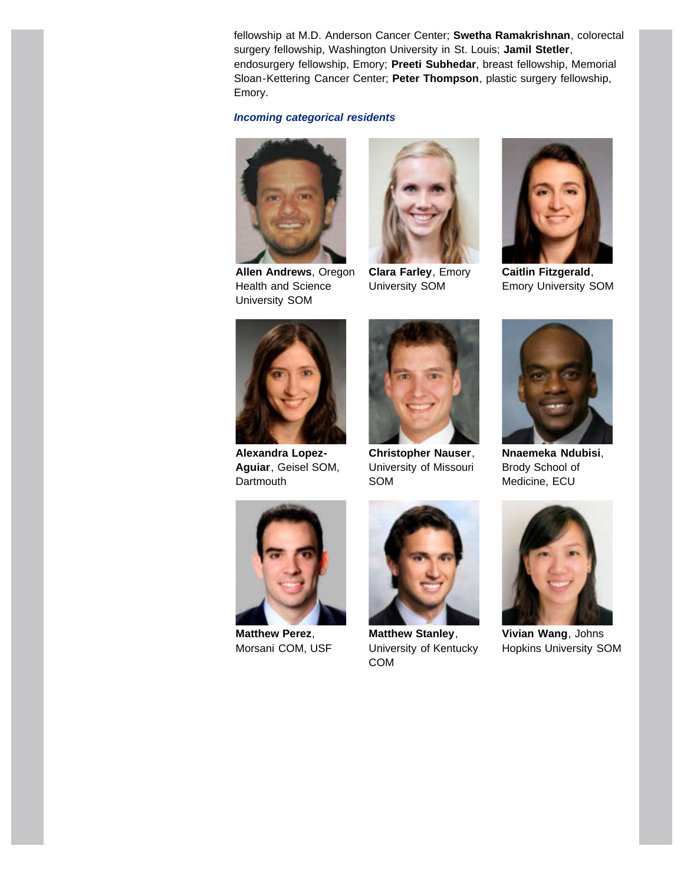fellowship at M.D. Anderson Cancer Center; **Swetha Ramakrishnan**, colorectal surgery fellowship, Washington University in St. Louis; **Jamil Stetler**, endosurgery fellowship, Emory; **Preeti Subhedar**, breast fellowship, Memorial Sloan-Kettering Cancer Center; **Peter Thompson**, plastic surgery fellowship, Emory.

# *Incoming categorical residents*



**Allen Andrews**, Oregon Health and Science University SOM



**Clara Farley**, Emory University SOM



**Caitlin Fitzgerald**, Emory University SOM



**Alexandra Lopez-Aguiar**, Geisel SOM, **Dartmouth** 



**Christopher Nauser**, University of Missouri SOM



**Nnaemeka Ndubisi**, Brody School of Medicine, ECU



**Matthew Perez**, Morsani COM, USF



**Matthew Stanley**, University of Kentucky COM



**Vivian Wang**, Johns Hopkins University SOM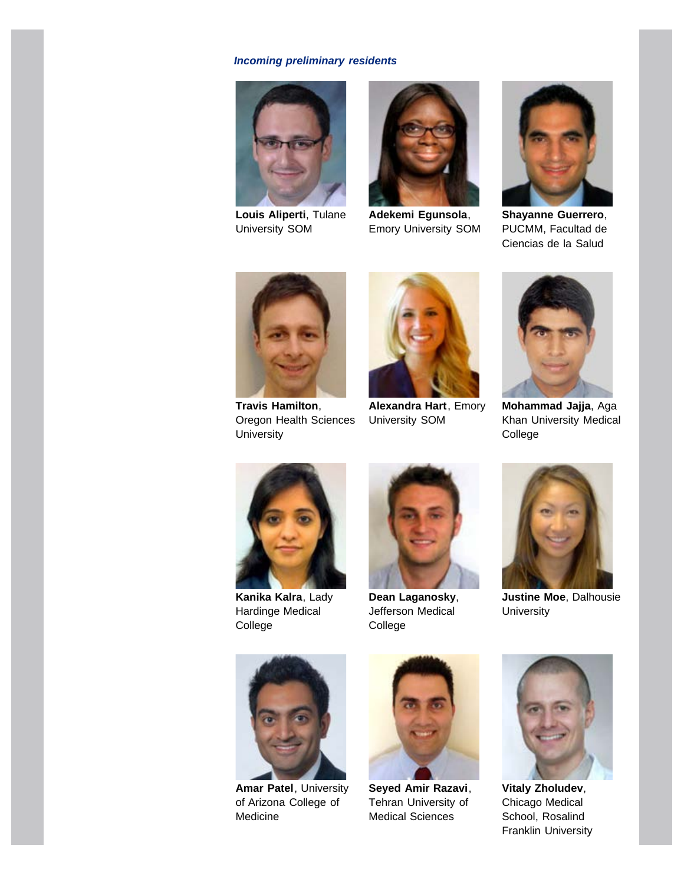# *Incoming preliminary residents*



**Louis Aliperti**, Tulane University SOM



**Adekemi Egunsola**, Emory University SOM



**Shayanne Guerrero**, PUCMM, Facultad de Ciencias de la Salud



**Travis Hamilton**, Oregon Health Sciences **University** 



**Alexandra Hart**, Emory University SOM



**Mohammad Jajja**, Aga Khan University Medical College



**Kanika Kalra**, Lady Hardinge Medical College



**Dean Laganosky**, Jefferson Medical College



**Justine Moe**, Dalhousie **University** 



**Amar Patel**, University of Arizona College of Medicine



**Seyed Amir Razavi**, Tehran University of Medical Sciences



**Vitaly Zholudev**, Chicago Medical School, Rosalind Franklin University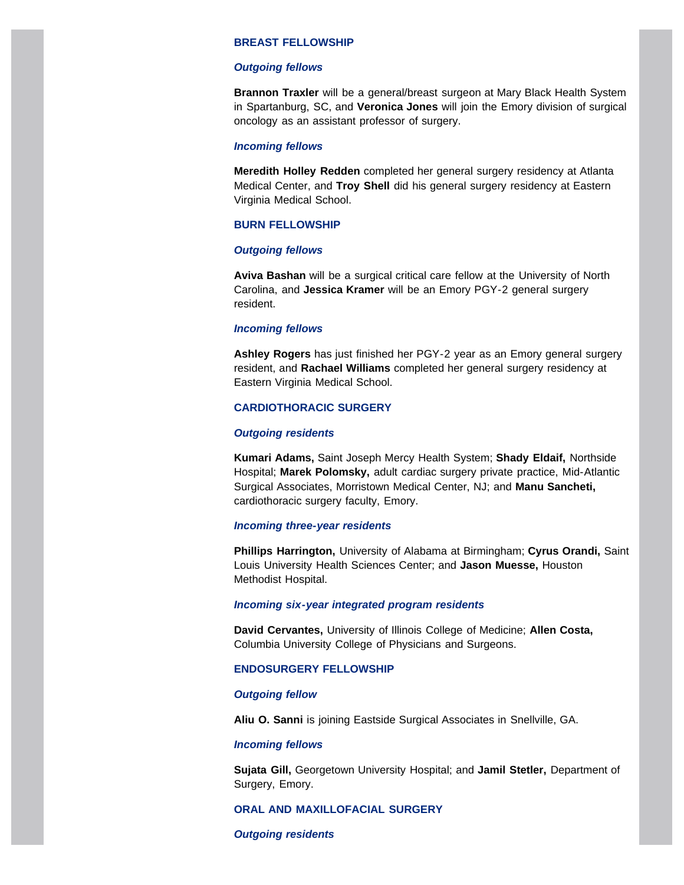#### **BREAST FELLOWSHIP**

#### *Outgoing fellows*

**Brannon Traxler** will be a general/breast surgeon at Mary Black Health System in Spartanburg, SC, and **Veronica Jones** will join the Emory division of surgical oncology as an assistant professor of surgery.

#### *Incoming fellows*

**Meredith Holley Redden** completed her general surgery residency at Atlanta Medical Center, and **Troy Shell** did his general surgery residency at Eastern Virginia Medical School.

#### **BURN FELLOWSHIP**

#### *Outgoing fellows*

**Aviva Bashan** will be a surgical critical care fellow at the University of North Carolina, and **Jessica Kramer** will be an Emory PGY-2 general surgery resident.

#### *Incoming fellows*

**Ashley Rogers** has just finished her PGY-2 year as an Emory general surgery resident, and **Rachael Williams** completed her general surgery residency at Eastern Virginia Medical School.

## **CARDIOTHORACIC SURGERY**

#### *Outgoing residents*

**Kumari Adams,** Saint Joseph Mercy Health System; **Shady Eldaif,** Northside Hospital; **Marek Polomsky,** adult cardiac surgery private practice, Mid-Atlantic Surgical Associates, Morristown Medical Center, NJ; and **Manu Sancheti,** cardiothoracic surgery faculty, Emory.

## *Incoming three-year residents*

**Phillips Harrington,** University of Alabama at Birmingham; **Cyrus Orandi,** Saint Louis University Health Sciences Center; and **Jason Muesse,** Houston Methodist Hospital.

#### *Incoming six-year integrated program residents*

**David Cervantes,** University of Illinois College of Medicine; **Allen Costa,** Columbia University College of Physicians and Surgeons.

#### **ENDOSURGERY FELLOWSHIP**

#### *Outgoing fellow*

**Aliu O. Sanni** is joining Eastside Surgical Associates in Snellville, GA.

#### *Incoming fellows*

**Sujata Gill,** Georgetown University Hospital; and **Jamil Stetler,** Department of Surgery, Emory.

## **ORAL AND MAXILLOFACIAL SURGERY**

#### *Outgoing residents*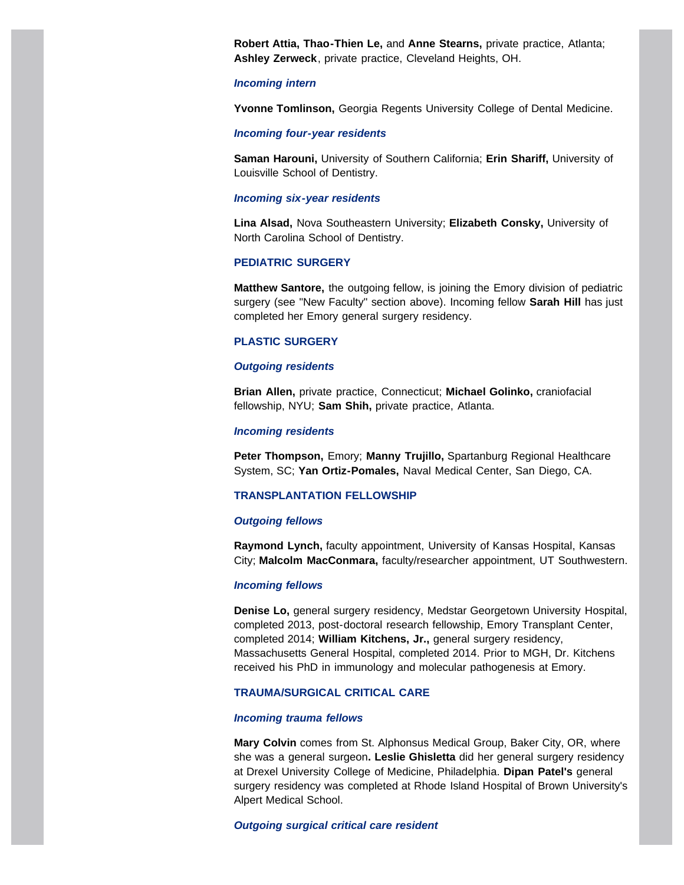**Robert Attia, Thao-Thien Le,** and **Anne Stearns,** private practice, Atlanta; **Ashley Zerweck**, private practice, Cleveland Heights, OH.

#### *Incoming intern*

**Yvonne Tomlinson,** Georgia Regents University College of Dental Medicine.

#### *Incoming four-year residents*

**Saman Harouni,** University of Southern California; **Erin Shariff,** University of Louisville School of Dentistry.

#### *Incoming six-year residents*

**Lina Alsad,** Nova Southeastern University; **Elizabeth Consky,** University of North Carolina School of Dentistry.

#### **PEDIATRIC SURGERY**

**Matthew Santore,** the outgoing fellow, is joining the Emory division of pediatric surgery (see "New Faculty" section above). Incoming fellow **Sarah Hill** has just completed her Emory general surgery residency.

#### **PLASTIC SURGERY**

#### *Outgoing residents*

**Brian Allen,** private practice, Connecticut; **Michael Golinko,** craniofacial fellowship, NYU; **Sam Shih,** private practice, Atlanta.

#### *Incoming residents*

**Peter Thompson,** Emory; **Manny Trujillo,** Spartanburg Regional Healthcare System, SC; **Yan Ortiz-Pomales,** Naval Medical Center, San Diego, CA.

#### **TRANSPLANTATION FELLOWSHIP**

#### *Outgoing fellows*

**Raymond Lynch,** faculty appointment, University of Kansas Hospital, Kansas City; **Malcolm MacConmara,** faculty/researcher appointment, UT Southwestern.

#### *Incoming fellows*

**Denise Lo,** general surgery residency, Medstar Georgetown University Hospital, completed 2013, post-doctoral research fellowship, Emory Transplant Center, completed 2014; **William Kitchens, Jr.,** general surgery residency, Massachusetts General Hospital, completed 2014. Prior to MGH, Dr. Kitchens received his PhD in immunology and molecular pathogenesis at Emory.

#### **TRAUMA/SURGICAL CRITICAL CARE**

#### *Incoming trauma fellows*

**Mary Colvin** comes from St. Alphonsus Medical Group, Baker City, OR, where she was a general surgeon**. Leslie Ghisletta** did her general surgery residency at Drexel University College of Medicine, Philadelphia. **Dipan Patel's** general surgery residency was completed at Rhode Island Hospital of Brown University's Alpert Medical School.

#### *Outgoing surgical critical care resident*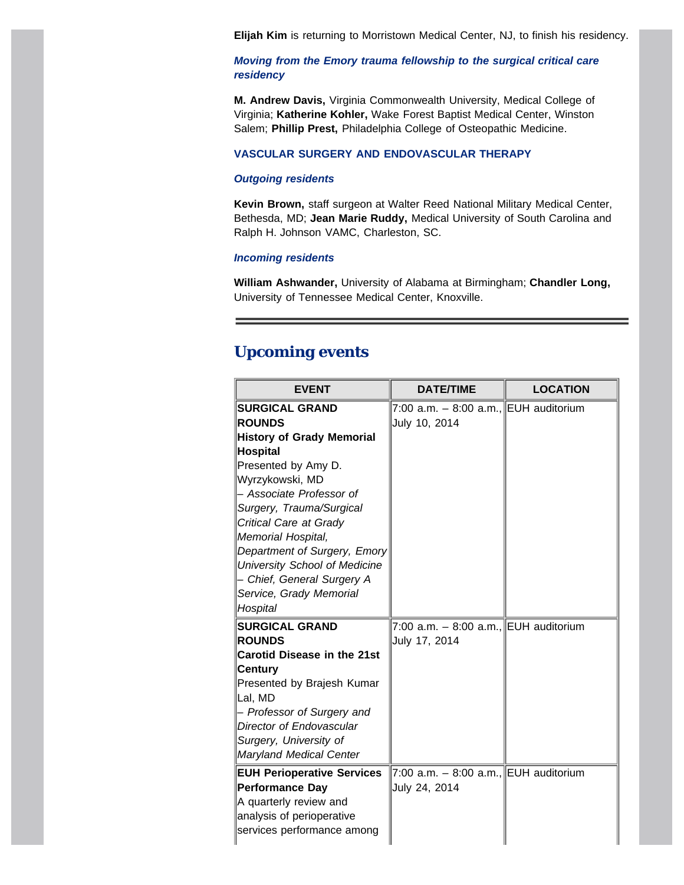**Elijah Kim** is returning to Morristown Medical Center, NJ, to finish his residency.

# *Moving from the Emory trauma fellowship to the surgical critical care residency*

**M. Andrew Davis,** Virginia Commonwealth University, Medical College of Virginia; **Katherine Kohler,** Wake Forest Baptist Medical Center, Winston Salem; **Phillip Prest,** Philadelphia College of Osteopathic Medicine.

## **VASCULAR SURGERY AND ENDOVASCULAR THERAPY**

## *Outgoing residents*

**Kevin Brown,** staff surgeon at Walter Reed National Military Medical Center, Bethesda, MD; **Jean Marie Ruddy,** Medical University of South Carolina and Ralph H. Johnson VAMC, Charleston, SC.

## *Incoming residents*

**William Ashwander,** University of Alabama at Birmingham; **Chandler Long,** University of Tennessee Medical Center, Knoxville.

# <span id="page-11-0"></span>**Upcoming events**

| <b>EVENT</b>                           | <b>DATE/TIME</b>                                         | <b>LOCATION</b> |
|----------------------------------------|----------------------------------------------------------|-----------------|
| <b>SURGICAL GRAND</b><br><b>ROUNDS</b> | 7:00 a.m. $-$ 8:00 a.m., EUH auditorium<br>July 10, 2014 |                 |
| <b>History of Grady Memorial</b>       |                                                          |                 |
| <b>Hospital</b>                        |                                                          |                 |
| Presented by Amy D.                    |                                                          |                 |
| Wyrzykowski, MD                        |                                                          |                 |
| - Associate Professor of               |                                                          |                 |
| Surgery, Trauma/Surgical               |                                                          |                 |
| Critical Care at Grady                 |                                                          |                 |
| Memorial Hospital,                     |                                                          |                 |
| Department of Surgery, Emory           |                                                          |                 |
| University School of Medicine          |                                                          |                 |
| - Chief, General Surgery A             |                                                          |                 |
| Service, Grady Memorial                |                                                          |                 |
| Hospital                               |                                                          |                 |
| <b>SURGICAL GRAND</b>                  | 7:00 a.m. - 8:00 a.m., EUH auditorium                    |                 |
| <b>ROUNDS</b>                          | July 17, 2014                                            |                 |
| <b>Carotid Disease in the 21st</b>     |                                                          |                 |
| <b>Century</b>                         |                                                          |                 |
| Presented by Brajesh Kumar             |                                                          |                 |
| Lal, MD                                |                                                          |                 |
| - Professor of Surgery and             |                                                          |                 |
| Director of Endovascular               |                                                          |                 |
| Surgery, University of                 |                                                          |                 |
| <b>Maryland Medical Center</b>         |                                                          |                 |
| <b>EUH Perioperative Services</b>      | 7:00 a.m. - 8:00 a.m., EUH auditorium                    |                 |
| <b>Performance Day</b>                 | July 24, 2014                                            |                 |
| A quarterly review and                 |                                                          |                 |
| analysis of perioperative              |                                                          |                 |
| services performance among             |                                                          |                 |